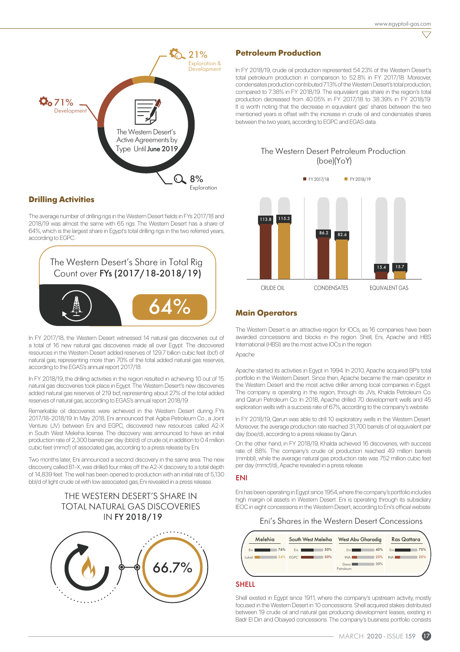

## **Drilling Activities**

The average number of drilling rigs in the Western Desert fields in FYs 2017/18 and 2018/19 was almost the same with 65 rigs. The Western Desert has a share of 64%, which is the largest share in Egypt's total drilling rigs in the two referred years, according to EGPC.



In FY 2017/18, the Western Desert witnessed 14 natural gas discoveries out of a total of 16 new natural gas discoveries made all over Egypt. The discovered resources in the Western Desert added reserves of 129.7 billion cubic feet (bcf) of natural gas, representing more than 70% of the total added natural gas reserves, according to the EGAS's annual report 2017/18.

In FY 2018/19, the drilling activities in the region resulted in achieving 10 out of 15 natural gas discoveries took place in Egypt. The Western Desert's new discoveries added natural gas reserves of 219 bcf, representing about 27% of the total added reserves of natural gas, according to EGAS's annual report 2018/19.

Remarkable oil discoveries were achieved in the Western Desert during FYs 2017/18-2018/19. In May 2018, Eni announced that Agiba Petroleum Co., a Joint Venture (JV) between Eni and EGPC, discovered new resources called A2-X in South West Meleiha license. The discovery was announced to have an initial production rate of 2,300 barrels per day (bbl/d) of crude oil, in addition to 0.4 million cubic feet (mmcf) of associated gas, according to a press release by Eni.

Two months later, Eni announced a second discovery in the same area. The new discovery, called B1-X, was drilled four miles off the A2-X discovery, to a total depth of 14,839 feet. The well has been opened to production with an initial rate of 5,130 bbl/d of light crude oil with low associated gas, Eni revealed in a press release.

# THE WESTERN DESERT'S SHARE IN TOTAL NATURAL GAS DISCOVERIES IN FY 2018/19



# **Petroleum Production**

In FY 2018/19, crude oil production represented 54.23% of the Western Desert's total petroleum production in comparison to 52.8% in FY 2017/18. Moreover, condensates production contributed 7.13% of the Western Desert's total production, compared to 7.38% in FY 2018/19. The equivalent gas share in the region's total production decreased from 40.05% in FY 2017/18 to 38.39% in FY 2018/19. It is worth noting that the decrease in equivalent gas' shares between the two mentioned years is offset with the increase in crude oil and condensates shares between the two years, according to EGPC and EGAS data.

## The Western Desert Petroleum Production (boe)(YoY)



# **Main Operators**

The Western Desert is an attractive region for IOCs, as 16 companies have been awarded concessions and blocks in the region. Shell, Eni, Apache and HBS International (HBSI) are the most active IOCs in the region. Apache

Apache started its activities in Egypt in 1994. In 2010, Apache acquired BP's total portfolio in the Western Desert. Since then, Apache became the main operator in the Western Desert and the most active driller among local companies in Egypt. The company is operating in the region, through its JVs, Khalda Petroleum Co. and Qarun Petroleum Co. In 2018, Apache drilled 70 development wells and 45 exploration wells with a success rate of 67%, according to the company's website.

In FY 2018/19, Qarun was able to drill 10 exploratory wells in the Western Desert. Moreover, the average production rate reached 31,700 barrels of oil equivalent per day (boe/d), according to a press release by Qarun.

On the other hand, in FY 2018/19, Khalda achieved 16 discoveries, with success rate of 88%. The company's crude oil production reached 49 million barrels (mmbbl), while the average natural gas production rate was 752 million cubic feet per day (mmcf/d), Apache revealed in a press release.

### ENI

Eni has been operating in Egypt since 1954, where the company's portfolio includes high margin oil assets in Western Desert. Eni is operating through its subsidiary IEOC in eight concessions in the Western Desert, according to Eni's official website.

#### Eni's Shares in the Western Desert Concessions



### SHELL

Shell existed in Egypt since 1911, where the company's upstream activity, mostly focused in the Western Desert in 10 concessions. Shell acquired stakes distributed between 19 crude oil and natural gas producing development leases, existing in Badr El Din and Obaiyed concessions. The company's business portfolio consists

- MARCH 2020 - ISSUE 159 17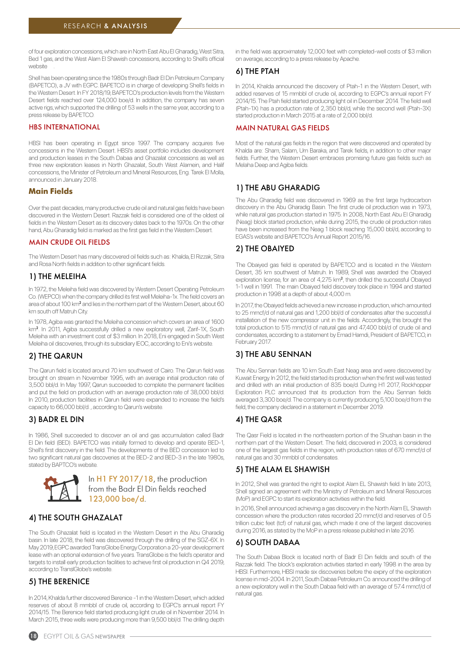of four exploration concessions, which are in North East Abu El Gharadig, West Sitra, Bed 1 gas, and the West Alam El Shawish concessions, according to Shell's official website

Shell has been operating since the 1980s through Badr El Din Petroleum Company (BAPETCO), a JV with EGPC. BAPETCO is in charge of developing Shell's fields in the Western Desert. In FY 2018/19, BAPETCO's production levels from the Western Desert fields reached over 124,000 boe/d. In addition, the company has seven active rigs, which supported the drilling of 53 wells in the same year, according to a press release by BAPETCO.

# HBS INTERNATIONAL

HBSI has been operating in Egypt since 1997. The company acquires five concessions in the Western Desert. HBSI's asset portfolio includes development and production leases in the South Dabaa and Ghazalat concessions as well as three new exploration leases in North Ghazalat, South West Alamein, and Halif concessions, the Minister of Petroleum and Mineral Resources, Eng. Tarek El Molla, announced in January 2018.

### **Main Fields**

Over the past decades, many productive crude oil and natural gas fields have been discovered in the Western Desert. Razzak field is considered one of the oldest oil fields in the Western Desert as its discovery dates back to the 1970s. On the other hand, Abu Gharadig field is marked as the first gas field in the Western Desert.

### MAIN CRUDE OIL FIELDS

The Western Desert has many discovered oil fields such as: Khalda, El Rizzak, Sitra and Rosa North fields in addition to other significant fields.

## 1) THE MELEIHA

In 1972, the Meleiha field was discovered by Western Desert Operating Petroleum Co. (WEPCO) when the company drilled its first well Meleiha-1x. The field covers an area of about 100 km2 and lies in the northern part of the Western Desert, about 60 km south off Matruh City.

In 1978, Agiba was granted the Meleiha concession which covers an area of 1600 km2. In 2011, Agiba successfully drilled a new exploratory well, Zarif-1X, South Meleiha with an investment cost of \$3 million. In 2018, Eni engaged in South West Meleiha oil discoveries, through its subsidiary IEOC, according to Eni's website.

# 2) THE QARUN

The Qarun field is located around 70 km southwest of Cairo. The Qarun field was brought on stream in November 1995, with an average initial production rate of 3,500 bbl/d. In May 1997, Qarun succeeded to complete the permanent facilities and put the field on production with an average production rate of 38,000 bbl/d. In 2010, production facilities in Qarun field were expanded to increase the field's capacity to 66,000 bbl/d. , according to Qarun's website.

## 3) BADR EL DIN

In 1986, Shell succeeded to discover an oil and gas accumulation called Badr El Din field (BED). BAPETCO was initially formed to develop and operate BED-1, Shell's first discovery in the field. The developments of the BED concession led to two significant natural gas discoveries at the BED-2 and BED-3 in the late 1980s, stated by BAPTCO's website.



## 4) THE SOUTH GHAZALAT

The South Ghazalat field is located in the Western Desert in the Abu Gharadig basin. In late 2018, the field was discovered through the drilling of the SGZ-6X. In May 2019, EGPC awarded TransGlobe Energy Corporation a 20-year development lease with an optional extension of five years. TransGlobe is the field's operator and targets to install early production facilities to achieve first oil production in Q4 2019, according to TranslGlobe's website.

## 5) THE BERENICE

In 2014, Khalda further discovered Berenice -1 in the Western Desert, which added reserves of about 8 mmbbl of crude oil, according to EGPC's annual report FY 2014/15. The Berenice field started producing light crude oil in November 2014. In March 2015, three wells were producing more than 9,500 bbl/d. The drilling depth in the field was approximately 12,000 feet with completed-well costs of \$3 million on average, according to a press release by Apache.

### 6) THE PTAH

In 2014, Khalda announced the discovery of Ptah-1 in the Western Desert, with added reserves of 15 mmbbl of crude oil, according to EGPC's annual report FY 2014/15. The Ptah field started producing light oil in December 2014. The field well (Ptah-1X) has a production rate of 2,350 bbl/d, while the second well (Ptah-3X) started production in March 2015 at a rate of 2,000 bbl/d.

### MAIN NATURAL GAS FIELDS

Most of the natural gas fields in the region that were discovered and operated by Khalda are: Sham, Salam, Um Baraka, and Tarek fields, in addition to other major fields. Further, the Western Desert embraces promising future gas fields such as Melaha Deep and Agiba fields.

# 1) THE ABU GHARADIG

The Abu Gharadig field was discovered in 1969 as the first large hydrocarbon discovery in the Abu Gharadig Basin. The first crude oil production was in 1973, while natural gas production started in 1975. In 2008, North East Abu El Gharadig (Neag) block started production, while during 2015, the crude oil production rates have been increased from the Neag 1 block reaching 15,000 bbl/d, according to EGAS's website and BAPETCO's Annual Report 2015/16.

## 2) THE OBAIYED

The Obaiyed gas field is operated by BAPETCO and is located in the Western Desert, 35 km southwest of Matruh. In 1989, Shell was awarded the Obaiyed exploration license, for an area of 4,275 km<sup>2</sup>, then drilled the successful Obaiyed 1-1 well in 1991. The main Obaiyed field discovery took place in 1994 and started production in 1998 at a depth of about 4,000 m.

In 2017, the Obaiyed fields achieved a new increase in production, which amounted to 25 mmcf/d of natural gas and 1,200 bbl/d of condensates after the successful installation of the new compressor unit in the fields. Accordingly, this brought the total production to 515 mmcf/d of natural gas and 47,400 bbl/d of crude oil and condensates, according to a statement by Emad Hamdi, President of BAPETCO, in February 2017.

## 3) THE ABU SENNAN

The Abu Sennan fields are 10 km South East Neag area and were discovered by Kuwait Energy. In 2012, the field started its production when the first well was tested and drilled with an initial production of 835 boe/d. During H1 2017, Rockhopper Exploration PLC announced that its production from the Abu Sennan fields averaged 3,300 boe/d. The company is currently producing 5,100 boe/d from the field, the company declared in a statement in December 2019.

## 4) THE QASR

The Qasr Field is located in the northeastern portion of the Shushan basin in the northern part of the Western Desert. The field, discovered in 2003, is considered one of the largest gas fields in the region, with production rates of 670 mmcf/d of natural gas and 30 mmbbl of condensates.

## 5) THE ALAM EL SHAWISH

In 2012, Shell was granted the right to exploit Alam EL Shawish field. In late 2013, Shell signed an agreement with the Ministry of Petroleum and Mineral Resources (MoP) and EGPC to start its exploration activities within the field.

In 2016, Shell announced achieving a gas discovery in the North Alam EL Shawish concession where the production rates recorded 20 mmcf/d and reserves of 0.5 trillion cubic feet (tcf) of natural gas, which made it one of the largest discoveries during 2016, as stated by the MoP in a press release published in late 2016.

# 6) SOUTH DABAA

The South Dabaa Block is located north of Badr El Din fields and south of the Razzak field. The block's exploration activities started in early 1998 in the area by HBSI. Furthermore, HBSI made six discoveries before the expiry of the exploration license in mid-2004. In 2011, South Dabaa Petroleum Co. announced the drilling of a new exploratory well in the South Dabaa field with an average of 57.4 mmcf/d of natural gas.